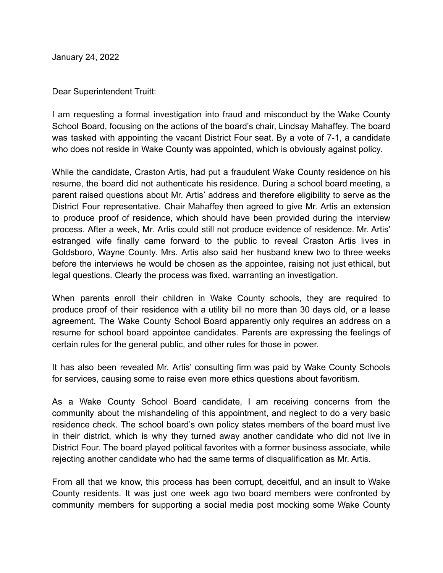January 24, 2022

Dear Superintendent Truitt:

I am requesting a formal investigation into fraud and misconduct by the Wake County School Board, focusing on the actions of the board's chair, Lindsay Mahaffey. The board was tasked with appointing the vacant District Four seat. By a vote of 7-1, a candidate who does not reside in Wake County was appointed, which is obviously against policy.

While the candidate, Craston Artis, had put a fraudulent Wake County residence on his resume, the board did not authenticate his residence. During a school board meeting, a parent raised questions about Mr. Artis' address and therefore eligibility to serve as the District Four representative. Chair Mahaffey then agreed to give Mr. Artis an extension to produce proof of residence, which should have been provided during the interview process. After a week, Mr. Artis could still not produce evidence of residence. Mr. Artis' estranged wife finally came forward to the public to reveal Craston Artis lives in Goldsboro, Wayne County. Mrs. Artis also said her husband knew two to three weeks before the interviews he would be chosen as the appointee, raising not just ethical, but legal questions. Clearly the process was fixed, warranting an investigation.

When parents enroll their children in Wake County schools, they are required to produce proof of their residence with a utility bill no more than 30 days old, or a lease agreement. The Wake County School Board apparently only requires an address on a resume for school board appointee candidates. Parents are expressing the feelings of certain rules for the general public, and other rules for those in power.

It has also been revealed Mr. Artis' consulting firm was paid by Wake County Schools for services, causing some to raise even more ethics questions about favoritism.

As a Wake County School Board candidate, I am receiving concerns from the community about the mishandeling of this appointment, and neglect to do a very basic residence check. The school board's own policy states members of the board must live in their district, which is why they turned away another candidate who did not live in District Four. The board played political favorites with a former business associate, while rejecting another candidate who had the same terms of disqualification as Mr. Artis.

From all that we know, this process has been corrupt, deceitful, and an insult to Wake County residents. It was just one week ago two board members were confronted by community members for supporting a social media post mocking some Wake County